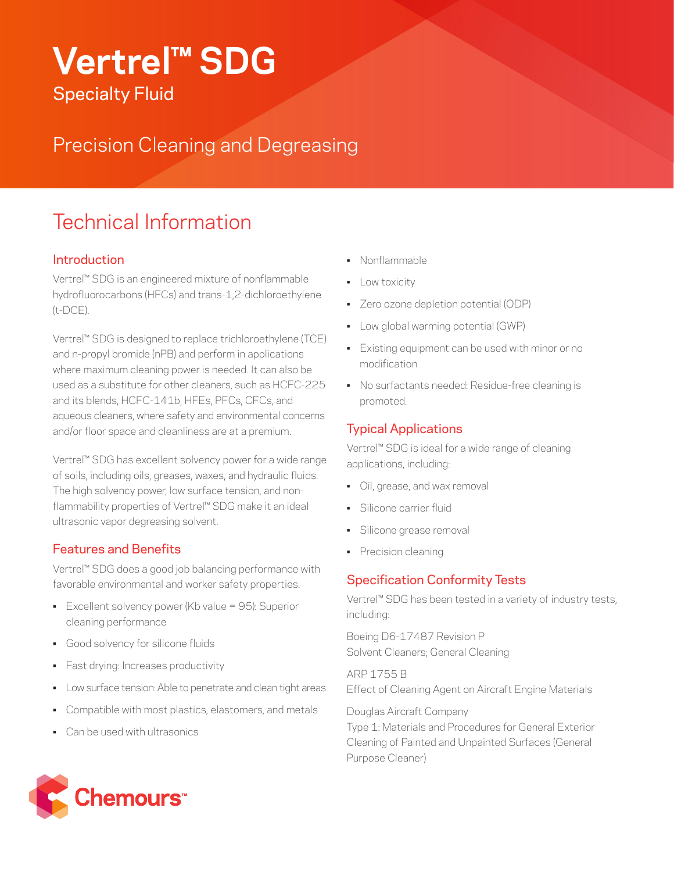# **Vertrel™ SDG**

Specialty Fluid

Precision Cleaning and Degreasing

# Technical Information

#### **Introduction**

Vertrel™ SDG is an engineered mixture of nonflammable hydrofluorocarbons (HFCs) and trans-1,2-dichloroethylene (t-DCE).

Vertrel™ SDG is designed to replace trichloroethylene (TCE) and n-propyl bromide (nPB) and perform in applications where maximum cleaning power is needed. It can also be used as a substitute for other cleaners, such as HCFC-225 and its blends, HCFC-141b, HFEs, PFCs, CFCs, and aqueous cleaners, where safety and environmental concerns and/or floor space and cleanliness are at a premium.

Vertrel™ SDG has excellent solvency power for a wide range of soils, including oils, greases, waxes, and hydraulic fluids. The high solvency power, low surface tension, and nonflammability properties of Vertrel™ SDG make it an ideal ultrasonic vapor degreasing solvent.

#### Features and Benefits

Vertrel™ SDG does a good job balancing performance with favorable environmental and worker safety properties.

- Excellent solvency power (Kb value = 95): Superior cleaning performance
- Good solvency for silicone fluids
- Fast drying: Increases productivity
- Low surface tension: Able to penetrate and clean tight areas
- Compatible with most plastics, elastomers, and metals
- Can be used with ultrasonics
- Nonflammable
- **•** Low toxicity
- Zero ozone depletion potential (ODP)
- Low global warming potential (GWP)
- Existing equipment can be used with minor or no modification
- No surfactants needed: Residue-free cleaning is promoted.

#### Typical Applications

Vertrel™ SDG is ideal for a wide range of cleaning applications, including:

- Oil, grease, and wax removal
- Silicone carrier fluid
- Silicone grease removal
- Precision cleaning

#### Specification Conformity Tests

Vertrel™ SDG has been tested in a variety of industry tests, including:

Boeing D6-17487 Revision P Solvent Cleaners; General Cleaning

ARP 1755 B Effect of Cleaning Agent on Aircraft Engine Materials

Douglas Aircraft Company Type 1: Materials and Procedures for General Exterior Cleaning of Painted and Unpainted Surfaces (General Purpose Cleaner)

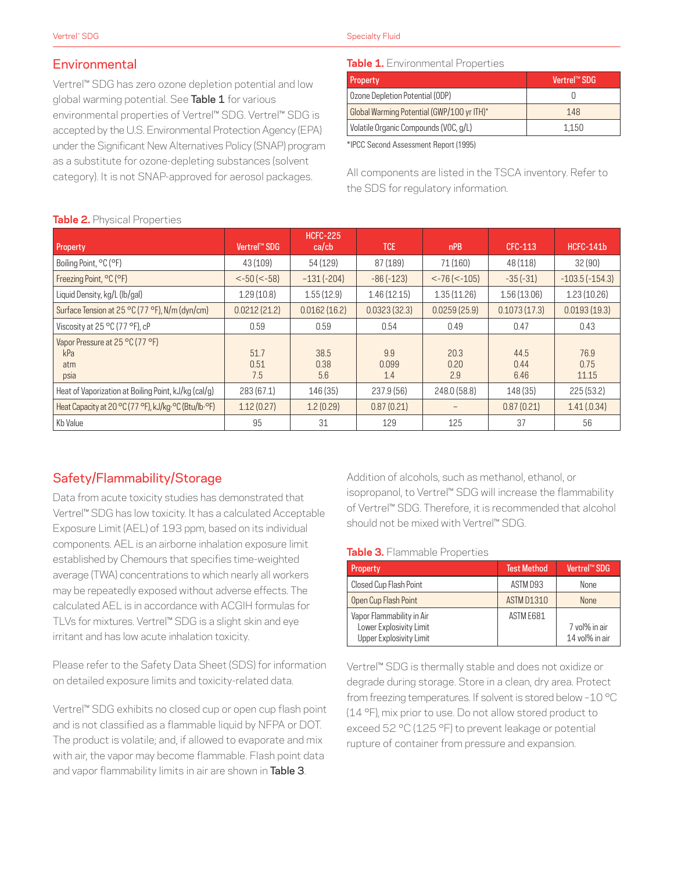## **Environmental**

Vertrel™ SDG has zero ozone depletion potential and low global warming potential. See Table 1 for various environmental properties of Vertrel™ SDG. Vertrel™ SDG is accepted by the U.S. Environmental Protection Agency (EPA) under the Significant New Alternatives Policy (SNAP) program as a substitute for ozone-depleting substances (solvent category). It is not SNAP-approved for aerosol packages.

#### Specialty Fluid

#### **Table 1.** Environmental Properties

| Property                                   | Vertrel™ SDG |
|--------------------------------------------|--------------|
| Ozone Depletion Potential (ODP)            |              |
| Global Warming Potential (GWP/100 yr ITH)* | 148          |
| Volatile Organic Compounds (VOC, g/L)      | 1.150        |

\*IPCC Second Assessment Report (1995)

All components are listed in the TSCA inventory. Refer to the SDS for regulatory information.

| <b>IMMIVE:</b> THYOICOIT TO DOI LIGO                  |                                       |                                |                     |                      |                      |                       |
|-------------------------------------------------------|---------------------------------------|--------------------------------|---------------------|----------------------|----------------------|-----------------------|
| Property                                              | Vertrel™ SDG                          | <b>HCFC-225</b><br>$ca$ / $cb$ | <b>TCE</b>          | nPB                  | <b>CFC-113</b>       | <b>HCFC-141b</b>      |
| Boiling Point, °C (°F)                                | 43 (109)                              | 54 (129)                       | 87 (189)            | 71 (160)             | 48 (118)             | 32(90)                |
| Freezing Point, °C (°F)                               | $\left  50 \right  \left  58 \right $ | $-131(-204)$                   | $-86(-123)$         | $< -76$ ( $< -105$ ) | $-35(-31)$           | $-103.5(-154.3)$      |
| Liquid Density, kg/L (lb/gal)                         | 1.29(10.8)                            | 1.55(12.9)                     | 1.46(12.15)         | 1.35(11.26)          | 1.56(13.06)          | 1.23(10.26)           |
| Surface Tension at 25 °C (77 °F), N/m (dyn/cm)        | 0.0212(21.2)                          | 0.0162(16.2)                   | 0.0323(32.3)        | 0.0259(25.9)         | 0.1073(17.3)         | 0.0193(19.3)          |
| Viscosity at 25 °C (77 °F), cP                        | 0.59                                  | 0.59                           | 0.54                | 0.49                 | 0.47                 | 0.43                  |
| Vapor Pressure at 25 °C (77 °F)<br>kPa<br>atm<br>psia | 51.7<br>0.51<br>7.5                   | 38.5<br>0.38<br>5.6            | 9.9<br>0.099<br>1.4 | 20.3<br>0.20<br>2.9  | 44.5<br>0.44<br>6.46 | 76.9<br>0.75<br>11.15 |
| Heat of Vaporization at Boiling Point, kJ/kg (cal/g)  | 283 (67.1)                            | 146 (35)                       | 237.9(56)           | 248.0(58.8)          | 148(35)              | 225(53.2)             |
| Heat Capacity at 20 °C (77 °F), kJ/kg·°C (Btu/lb·°F)  | 1.12(0.27)                            | 1.2(0.29)                      | 0.87(0.21)          |                      | 0.87(0.21)           | 1.41(.0.34)           |
| Kb Value                                              | 95                                    | 31                             | 129                 | 125                  | 37                   | 56                    |

### **Table 2.** Physical Properties

# Safety/Flammability/Storage

Data from acute toxicity studies has demonstrated that Vertrel™ SDG has low toxicity. It has a calculated Acceptable Exposure Limit (AEL) of 193 ppm, based on its individual components. AEL is an airborne inhalation exposure limit established by Chemours that specifies time-weighted average (TWA) concentrations to which nearly all workers may be repeatedly exposed without adverse effects. The calculated AEL is in accordance with ACGIH formulas for TLVs for mixtures. Vertrel™ SDG is a slight skin and eye irritant and has low acute inhalation toxicity.

Please refer to the Safety Data Sheet (SDS) for information on detailed exposure limits and toxicity-related data.

Vertrel™ SDG exhibits no closed cup or open cup flash point and is not classified as a flammable liquid by NFPA or DOT. The product is volatile; and, if allowed to evaporate and mix with air, the vapor may become flammable. Flash point data and vapor flammability limits in air are shown in Table 3.

Addition of alcohols, such as methanol, ethanol, or isopropanol, to Vertrel™ SDG will increase the flammability of Vertrel™ SDG. Therefore, it is recommended that alcohol should not be mixed with Vertrel™ SDG.

#### **Table 3.** Flammable Properties

| Property                                                                        | <b>Test Method</b> | Vertrel™ SDG                    |
|---------------------------------------------------------------------------------|--------------------|---------------------------------|
| Closed Cup Flash Point                                                          | ASTM D93           | <b>None</b>                     |
| Open Cup Flash Point                                                            | <b>ASTM D1310</b>  | <b>None</b>                     |
| Vapor Flammability in Air<br>Lower Explosivity Limit<br>Upper Explosivity Limit | ASTM E681          | 7 vol% in air<br>14 vol% in air |

Vertrel™ SDG is thermally stable and does not oxidize or degrade during storage. Store in a clean, dry area. Protect from freezing temperatures. If solvent is stored below –10 °C (14 °F), mix prior to use. Do not allow stored product to exceed 52 °C (125 °F) to prevent leakage or potential rupture of container from pressure and expansion.